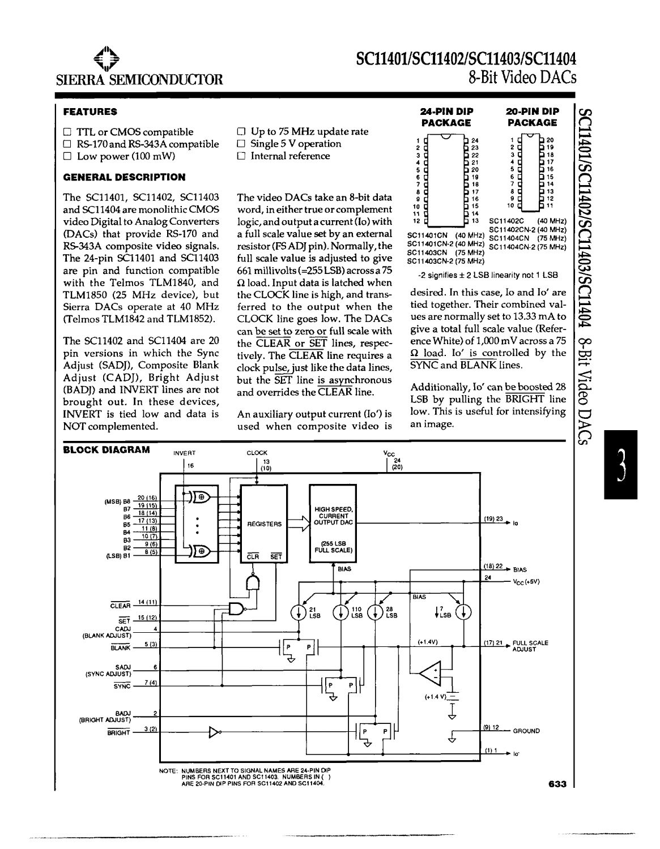

# *8C11401/8C11402/8C11403/8C11404*  **8-Bit** Video OACs

## **FEATURES**

 $\square$  TTL or CMOS compatible

 $\Box$  RS-170 and RS-343A compatible

 $\Box$  Low power (100 mW)

### **GENERAL DESCRIPTION**

The SC11401, SC11402, SC11403 and SC11404 are monolithic CMOS video Digital to Analog Converters (DACs) that provide RS-170 and RS-343A composite video signals. The 24-pin SC11401 and SC11403 are pin and function compatible with the Telmos TLM1840, and TLM1850 (25 MHz device), but Sierra DACs operate at 40 MHz (Telmos TLM1842 and TLMI852).

The SC11402 and SC11404 are 20 pin versions in which the Sync Adjust (SAD]), Composite Blank Adjust (CAD]), Bright Adjust (BADJ) and INVERT lines are not brought out. In these devices, INVERT is tied low and data is NOT complemented.

- $\Box$  Up to 75 MHz update rate
- $\Box$  Single 5 V operation
- $\Box$  Internal reference

The video DACs take an 8-bit data word, in either true or complement logic, and output a current (10) with a full scale value set by an external resistor (FSAD} pin). Normally, the full scale value is adjusted to give 661 millivolts (=255 LSB) across a 75  $\Omega$  load. Input data is latched when the CLOCK line is high, and transferred to the output when the CLOCK line goes low. The DACs can be set to zero or full scale with the CLEAR or SET lines, respectively. The CLEAR line requires a clock pulse, just like the data lines, but the SET line is asynchronous and overrides the CLEAR line.

An auxiliary output current (10') is used when composite video is

| 24-PIN DIP                                                                                                                     |                                                                                  | 20 PIN DIP                                                                                                                   |  |                                                                |  |
|--------------------------------------------------------------------------------------------------------------------------------|----------------------------------------------------------------------------------|------------------------------------------------------------------------------------------------------------------------------|--|----------------------------------------------------------------|--|
| PACKAGE                                                                                                                        |                                                                                  | PACKAGE                                                                                                                      |  |                                                                |  |
| 1<br>i<br>CCC<br>23456789<br>10<br>11<br>12<br>SC11401CN<br>SC11401CN-2 (40 MHz)<br>SC11403CN (75 MHz)<br>SC11403CN-2 (75 MHz) | 24<br>23<br>22<br>21<br>20<br>19<br>18<br>17<br>16<br>15<br>14<br>13<br>(40 MHz) | 2<br>3<br>4<br>5<br>6<br>7<br>8<br>9<br>10<br>SC11402C<br>SC11402CN-2 (40 MHz)<br>SC11404CN (75 MHz)<br>SC11404CN-2 (75 MHz) |  | 20<br>19<br>18<br>17<br>16<br>15<br>14<br>13<br>12<br>(40 MHz) |  |

-2 signifies ± 2 LSB linearity not 1 LSB

desired. In this case, 10 and 10' are tied together. Their combined values are normally set to 13.33 mA to give a total full scale value (Reference White) of 1,000 mV across a 75  $\Omega$  load. Io' is controlled by the SYNC and BLANK lines.

Additionally, 10' can be boosted 28 LSB by pulling the BRIGHT line low. This is useful for intensifying an image.



SC11401/SC11402/SC11403/SC11404 8-Bit Video DACs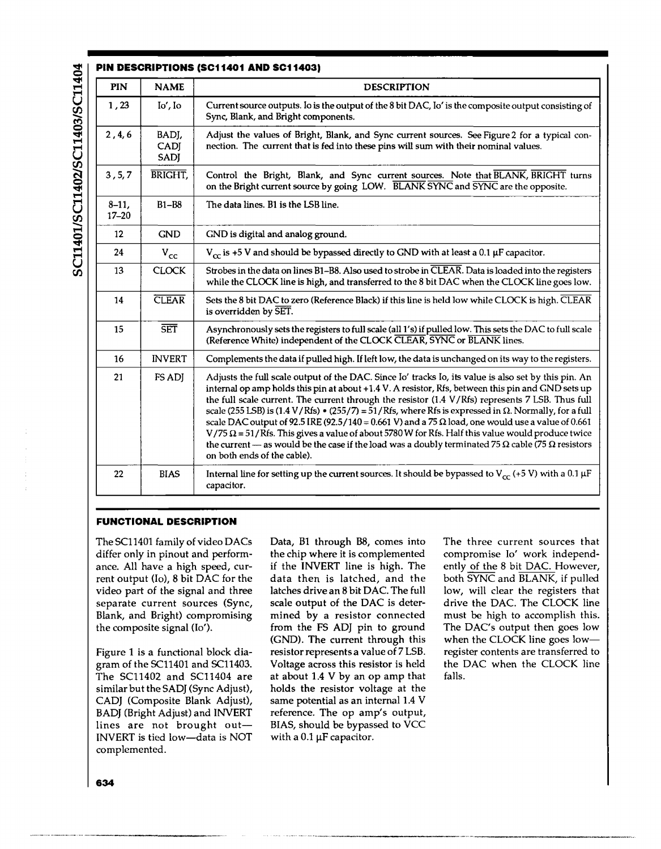| <b>PIN</b>            | <b>NAME</b>                  | <b>DESCRIPTION</b>                                                                                                                                                                                                                                                                                                                                                                                                                                                                                                                                                                                                                                                                                                                                                                             |
|-----------------------|------------------------------|------------------------------------------------------------------------------------------------------------------------------------------------------------------------------------------------------------------------------------------------------------------------------------------------------------------------------------------------------------------------------------------------------------------------------------------------------------------------------------------------------------------------------------------------------------------------------------------------------------------------------------------------------------------------------------------------------------------------------------------------------------------------------------------------|
| 1,23                  | Io', Io                      | Current source outputs. Io is the output of the 8 bit DAC, Io' is the composite output consisting of<br>Sync, Blank, and Bright components.                                                                                                                                                                                                                                                                                                                                                                                                                                                                                                                                                                                                                                                    |
| 2, 4, 6               | BADJ,<br>CADJ<br><b>SADI</b> | Adjust the values of Bright, Blank, and Sync current sources. See Figure 2 for a typical con-<br>nection. The current that is fed into these pins will sum with their nominal values.                                                                                                                                                                                                                                                                                                                                                                                                                                                                                                                                                                                                          |
| 3, 5, 7               | <b>BRIGHT</b>                | Control the Bright, Blank, and Sync current sources. Note that BLANK, BRIGHT turns<br>on the Bright current source by going LOW. BLANK SYNC and SYNC are the opposite.                                                                                                                                                                                                                                                                                                                                                                                                                                                                                                                                                                                                                         |
| $8 - 11$<br>$17 - 20$ | <b>B1-B8</b>                 | The data lines. B1 is the LSB line.                                                                                                                                                                                                                                                                                                                                                                                                                                                                                                                                                                                                                                                                                                                                                            |
| 12                    | <b>GND</b>                   | GND is digital and analog ground.                                                                                                                                                                                                                                                                                                                                                                                                                                                                                                                                                                                                                                                                                                                                                              |
| 24                    | $V_{\rm cc}$                 | $V_{cr}$ is +5 V and should be bypassed directly to GND with at least a 0.1 µF capacitor.                                                                                                                                                                                                                                                                                                                                                                                                                                                                                                                                                                                                                                                                                                      |
| 13                    | <b>CLOCK</b>                 | Strobes in the data on lines B1-B8. Also used to strobe in CLEAR. Data is loaded into the registers<br>while the CLOCK line is high, and transferred to the 8 bit DAC when the CLOCK line goes low.                                                                                                                                                                                                                                                                                                                                                                                                                                                                                                                                                                                            |
| 14                    | <b>CLEAR</b>                 | Sets the 8 bit DAC to zero (Reference Black) if this line is held low while CLOCK is high. CLEAR<br>is overridden by SET.                                                                                                                                                                                                                                                                                                                                                                                                                                                                                                                                                                                                                                                                      |
| 15                    | $\overline{\text{SET}}$      | Asynchronously sets the registers to full scale (all 1's) if pulled low. This sets the DAC to full scale<br>(Reference White) independent of the CLOCK CLEAR, SYNC or BLANK lines.                                                                                                                                                                                                                                                                                                                                                                                                                                                                                                                                                                                                             |
| 16                    | <b>INVERT</b>                | Complements the data if pulled high. If left low, the data is unchanged on its way to the registers.                                                                                                                                                                                                                                                                                                                                                                                                                                                                                                                                                                                                                                                                                           |
| 21                    | FS ADJ                       | Adjusts the full scale output of the DAC. Since Io' tracks Io, its value is also set by this pin. An<br>internal op amp holds this pin at about +1.4 V. A resistor, Rfs, between this pin and GND sets up<br>the full scale current. The current through the resistor (1.4 V/Rfs) represents 7 LSB. Thus full<br>scale (255 LSB) is (1.4 V/Rfs) • (255/7) = 51/Rfs, where Rfs is expressed in Ω. Normally, for a full<br>scale DAC output of 92.5 IRE (92.5/140 = 0.661 V) and a 75 $\Omega$ load, one would use a value of 0.661<br>V/75 $\Omega$ = 51/Rfs. This gives a value of about 5780 W for Rfs. Half this value would produce twice<br>the current — as would be the case if the load was a doubly terminated 75 $\Omega$ cable (75 $\Omega$ resistors<br>on both ends of the cable). |
| 22                    | <b>BIAS</b>                  | Internal line for setting up the current sources. It should be bypassed to $V_{cc}$ (+5 V) with a 0.1 $\mu$ F<br>capacitor.                                                                                                                                                                                                                                                                                                                                                                                                                                                                                                                                                                                                                                                                    |

SC11401/SC11402/SC11403/SC11404

### **FUNCTIONAL DESCRIPTION**

The SC11401 family of video DACs Data, Bl through BB, comes into The three current sources that

Figure 1 is a functional block dia-<br>gram of the SC11401 and SC11403. Voltage across this resistor is held the DAC when the CLOCK line The SC11402 and SC11404 are at about 1.4 V by an op amp that falls. similar but the SADJ (Sync Adjust), holds the resistor voltage at the CAD] (Composite Blank Adjust), same potential as an internal 1.4 V BADJ (Bright Adjust) and INVERT reference. The op amp's output, lines are not brought out-<br> $BIAS$ , should be bypassed to VCC<br>INVERT is tied low-data is NOT with a 0.1  $\mu$ F capacitor. INVERT is tied low-data is NOT complemented.

differ only in pinout and perform-<br>the chip where it is complemented compromise Io' work independance. All have a high speed, cur- if the INVERT line is high. The ently of the 8 bit DAC. However, rent output (Io), 8 bit DAC for the data then is latched, and the both  $\overline{\text{SYNC}}$  and  $\overline{\text{BLANK}}$ , if pulled data then is latched, and the video part of the signal and three latches drive an 8 bit DAC. The full low, will clear the registers that separate current sources (Sync, scale output of the DAC is deter- drive the DAC. The CLOCK line Blank, and Bright) compromising mined by a resistor connected must be high to accomplish this. the composite signal (10'). from the FS ADJ pin to ground The DAC's output then goes low (GND). The current through this when the CLOCK line goes low-Voltage across this resistor is held

.\_--------\_.\_-\_.\_.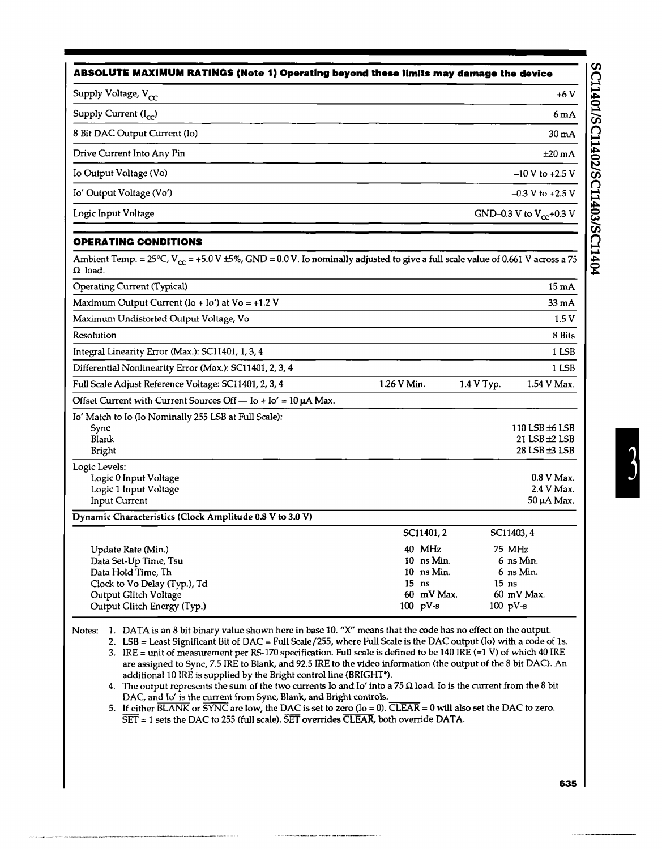| ABSOLUTE MAXIMUM RATINGS (Note 1) Operating beyond these limits may damage the device |                              |  |  |
|---------------------------------------------------------------------------------------|------------------------------|--|--|
| Supply Voltage, V <sub>cc</sub>                                                       | $+6V$                        |  |  |
| Supply Current $(I_{\infty})$                                                         | 6mA                          |  |  |
| 8 Bit DAC Output Current (Io)                                                         | 30 <sub>m</sub> A            |  |  |
| Drive Current Into Any Pin                                                            | $±20$ mA                     |  |  |
| Io Output Voltage (Vo)                                                                | $-10V$ to $+2.5V$            |  |  |
| Io' Output Voltage (Vo')                                                              | $-0.3$ V to $+2.5$ V         |  |  |
| Logic Input Voltage                                                                   | GND-0.3 V to $V_{cr}$ +0.3 V |  |  |

### **OPERATING CONDITIONS**

Ambient Temp. = 25°C,  $V_{cc}$  = +5.0 V ±5%, GND = 0.0 V. Io nominally adjusted to give a full scale value of 0.661 V across a 75  $\Omega$  load.

| Operating Current (Typical)                                                      |                                   |            | $15 \text{ mA}$                                  |
|----------------------------------------------------------------------------------|-----------------------------------|------------|--------------------------------------------------|
| Maximum Output Current (Io + Io') at $Vo = +1.2 V$                               |                                   |            | $33 \text{ mA}$                                  |
| Maximum Undistorted Output Voltage, Vo                                           |                                   |            | 1.5 V                                            |
| Resolution                                                                       |                                   |            | 8 Bits                                           |
| Integral Linearity Error (Max.): SC11401, 1, 3, 4                                |                                   |            | 1 LSB                                            |
| Differential Nonlinearity Error (Max.): SC11401, 2, 3, 4                         |                                   |            | 1 LSB                                            |
| Full Scale Adjust Reference Voltage: SC11401, 2, 3, 4                            | 1.26 V Min.                       | 1.4 V Typ. | 1.54 V Max.                                      |
| Offset Current with Current Sources Off - $Io + Io' = 10 \mu A$ Max.             |                                   |            |                                                  |
| Io' Match to Io (Io Nominally 255 LSB at Full Scale):<br>Sync<br>Blank<br>Bright |                                   |            | 110 LSB +6 LSB<br>21 LSB ±2 LSB<br>28 LSB ±3 LSB |
| Logic Levels:<br>Logic 0 Input Voltage<br>Logic 1 Input Voltage<br>Input Current |                                   |            | $0.8$ V Max.<br>2.4 V Max.<br>50 µA Max.         |
| Dynamic Characteristics (Clock Amplitude 0.8 V to 3.0 V)                         |                                   |            |                                                  |
|                                                                                  | SC11401, 2                        |            | SC11403, 4                                       |
| Update Rate (Min.)<br>Data Set-Up Time, Tsu<br>Data Hold Time, Th                | 40 MHz<br>10 ns Min.<br>10 ns Min |            | 75 MHz<br>6 ns Min.<br>6 ns Min                  |

| Update Rate (Min.)           |         | 40 MHz       | 75 MHz           |
|------------------------------|---------|--------------|------------------|
| Data Set-Up Time, Tsu        |         | $10$ ns Min. | 6 ns Min.        |
| Data Hold Time, Th           |         | $10$ ns Min. | 6 ns Min.        |
| Clock to Vo Delay (Typ.), Td | $15$ ns |              | 15 <sub>ns</sub> |
| Output Glitch Voltage        |         | 60 mV Max.   | 60 mV Max.       |
| Output Glitch Energy (Typ.)  |         | $100$ pV-s   | $100$ pV-s       |

Notes: 1. DATA is an 8 bit binary value shown here in base 10. "X" means that the code has no effect on the output.

2. LSB = Least Significant Bit of DAC = Full Scale/255, where Full Scale is the DAC output (10) with a code of Is.

3. IRE = unit of measurement per RS-170 specification. Full scale is defined to be 140 IRE (=1 V) of which 40 IRE are assigned to Sync, 7.5 IRE to Blank, and 92.5 IRE to the video information (the output of the 8 bit DAC). An additional 10 IRE is supplied by the Bright control line (BRIGHT').

4. The output represents the sum of the two currents Io and Io' into a 75  $\Omega$  load. Io is the current from the 8 bit DAC, and 10' is the current from Sync, Blank, and Bright controls.

5. If either  $\overline{\rm BLANK}$  or  $\overline{\rm SYNC}$  are low, the DAC is set to zero (Io = 0). CLEAR = 0 will also set the DAC to zero. SET = 1 sets the DAC to 255 (full scale). SET overrides CLEAR, both override DATA.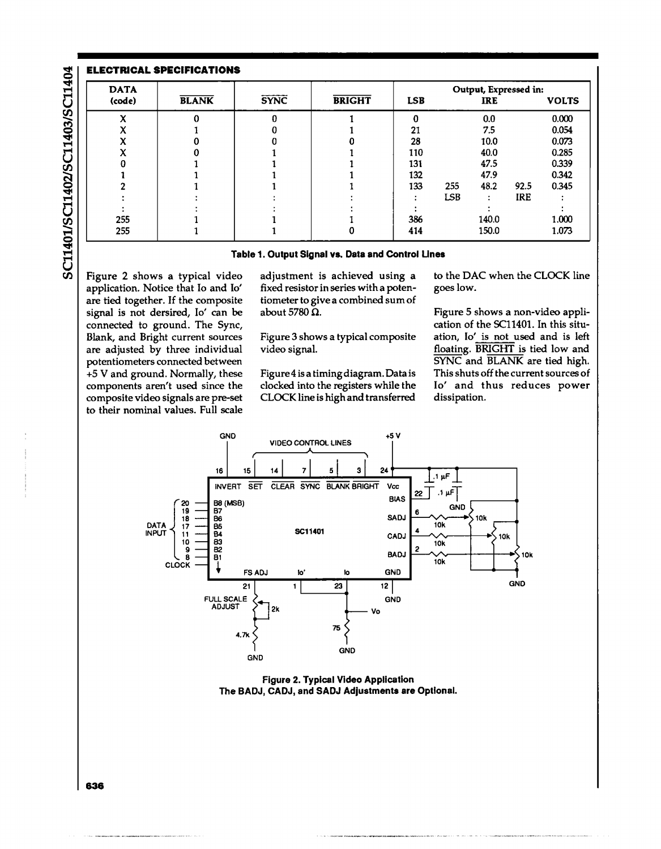| <b>DATA</b> |              |             |               | Output, Expressed in: |            |            |      |              |
|-------------|--------------|-------------|---------------|-----------------------|------------|------------|------|--------------|
| (code)      | <b>BLANK</b> | <b>SYNC</b> | <b>BRIGHT</b> | <b>LSB</b>            |            | <b>IRE</b> |      | <b>VOLTS</b> |
| v           |              |             |               | o                     |            | 0.0        |      | 0.000        |
|             |              |             |               | 21                    |            | 7.5        |      | 0.054        |
|             |              |             |               | 28                    |            | 10.0       |      | 0.073        |
|             |              |             |               | 110                   |            | 40.0       |      | 0.285        |
|             |              |             |               | 131                   |            | 47.5       |      | 0.339        |
|             |              |             |               | 132                   |            | 47.9       |      | 0.342        |
|             |              |             |               | 133                   | 255        | 48.2       | 92.5 | 0.345        |
|             |              |             |               |                       | <b>LSB</b> | ۰          | IRE  |              |
|             |              |             |               |                       |            |            |      |              |
| 255         |              |             |               | 386                   |            | 140.0      |      | 1.000        |
| 255         |              |             |               | 414                   |            | 150.0      |      | 1.073        |

### Table 1. Output Signal vs. Data and Control Unes

Figure 2 shows a typical video application. Notice that 10 and 10' are tied together. If the composite signal is not dersired, 10' can be connected to ground. The Sync, Blank, and Bright current sources are adjusted by three individual potentiometers connected between +5 V and ground. Normally, these components aren't used since the composite video signals are pre-set to their nominal values. Full scale

SC11401/SC11402/SC11403/SC11404

adjustment is achieved using a fixed resistor in series with a potentiometer to give a combined sum of about 5780  $\Omega$ .

Figure 3 shows a typical composite video signal.

Figure 4 is a timing diagram. Data is clocked into the registers while the CLOCK line is high and transferred to the DAC when the CLOCK line goes low.

Figure 5 shows a non-video application of the SCl1401. In this situation, 10' is not used and is left floating. BRIGHT is tied low and SYNC and BLANK are tied high. This shuts off the current sources of 10' and thus reduces power dissipation.



Figure 2. Typical Video Application The BADJ, CADJ, and SADJ Adjustments are Optional.

**636**